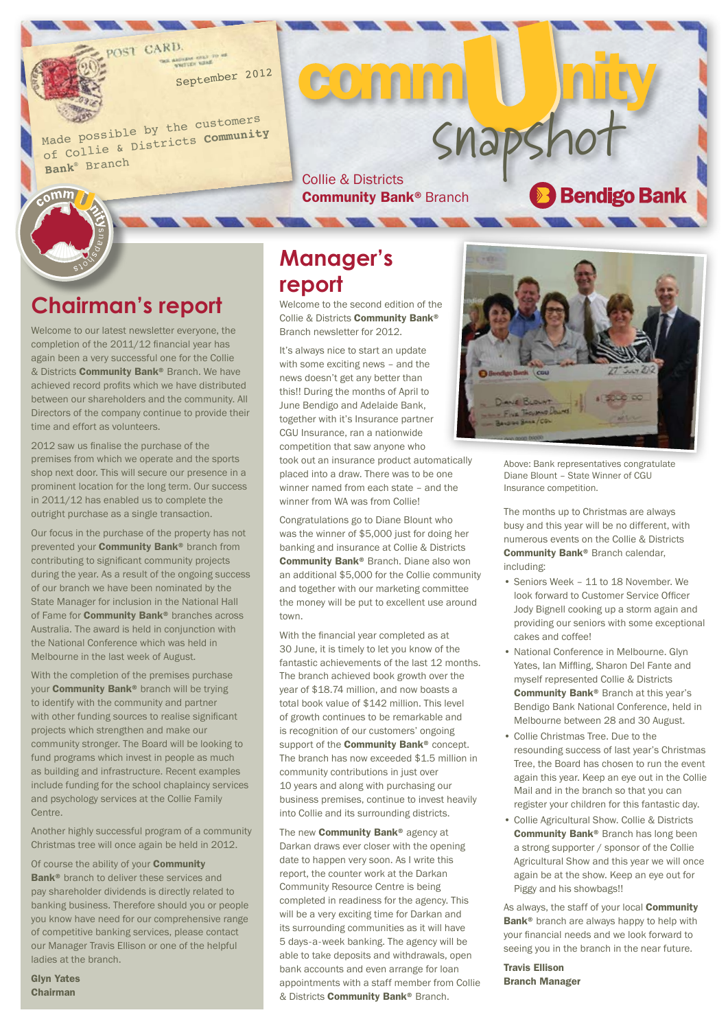CARD

September <sup>2012</sup>

Made possible by the customers of Collie & Districts **Community Bank**® Branc<sup>h</sup>

# SMapShot<br>Collie & Districts<br>Community Bank® Branch **Community Bank® Branch**

COMM

#### **Chairman's report**

 $c<sub>o</sub>$ mm

Welcome to our latest newsletter everyone, the completion of the 2011/12 financial year has again been a very successful one for the Collie & Districts Community Bank® Branch. We have achieved record profits which we have distributed between our shareholders and the community. All Directors of the company continue to provide their time and effort as volunteers.

2012 saw us finalise the purchase of the premises from which we operate and the sports shop next door. This will secure our presence in a prominent location for the long term. Our success in 2011/12 has enabled us to complete the outright purchase as a single transaction.

Our focus in the purchase of the property has not prevented your Community Bank® branch from contributing to significant community projects during the year. As a result of the ongoing success of our branch we have been nominated by the State Manager for inclusion in the National Hall of Fame for **Community Bank®** branches across Australia. The award is held in conjunction with the National Conference which was held in Melbourne in the last week of August.

With the completion of the premises purchase your **Community Bank®** branch will be trying to identify with the community and partner with other funding sources to realise significant projects which strengthen and make our community stronger. The Board will be looking to fund programs which invest in people as much as building and infrastructure. Recent examples include funding for the school chaplaincy services and psychology services at the Collie Family Centre.

Another highly successful program of a community Christmas tree will once again be held in 2012.

Of course the ability of your **Community** Bank<sup>®</sup> branch to deliver these services and pay shareholder dividends is directly related to banking business. Therefore should you or people you know have need for our comprehensive range of competitive banking services, please contact our Manager Travis Ellison or one of the helpful ladies at the branch.

Glyn Yates Chairman

#### **Manager's report**

Welcome to the second edition of the Collie & Districts Community Bank® Branch newsletter for 2012.

It's always nice to start an update with some exciting news – and the news doesn't get any better than this!! During the months of April to June Bendigo and Adelaide Bank, together with it's Insurance partner CGU Insurance, ran a nationwide competition that saw anyone who took out an insurance product automatically placed into a draw. There was to be one winner named from each state – and the winner from WA was from Collie!

Congratulations go to Diane Blount who was the winner of \$5,000 just for doing her banking and insurance at Collie & Districts Community Bank® Branch. Diane also won an additional \$5,000 for the Collie community and together with our marketing committee the money will be put to excellent use around town.

With the financial year completed as at 30 June, it is timely to let you know of the fantastic achievements of the last 12 months. The branch achieved book growth over the year of \$18.74 million, and now boasts a total book value of \$142 million. This level of growth continues to be remarkable and is recognition of our customers' ongoing support of the **Community Bank®** concept. The branch has now exceeded \$1.5 million in community contributions in just over 10 years and along with purchasing our business premises, continue to invest heavily into Collie and its surrounding districts.

The new **Community Bank®** agency at Darkan draws ever closer with the opening date to happen very soon. As I write this report, the counter work at the Darkan Community Resource Centre is being completed in readiness for the agency. This will be a very exciting time for Darkan and its surrounding communities as it will have 5 days-a-week banking. The agency will be able to take deposits and withdrawals, open bank accounts and even arrange for loan appointments with a staff member from Collie & Districts Community Bank® Branch.



Above: Bank representatives congratulate Diane Blount – State Winner of CGU Insurance competition.

The months up to Christmas are always busy and this year will be no different, with numerous events on the Collie & Districts Community Bank® Branch calendar, including:

- Seniors Week 11 to 18 November. We look forward to Customer Service Officer Jody Bignell cooking up a storm again and providing our seniors with some exceptional cakes and coffee!
- National Conference in Melbourne. Glyn Yates, Ian Miffling, Sharon Del Fante and myself represented Collie & Districts Community Bank® Branch at this year's Bendigo Bank National Conference, held in Melbourne between 28 and 30 August.
- Collie Christmas Tree. Due to the resounding success of last year's Christmas Tree, the Board has chosen to run the event again this year. Keep an eye out in the Collie Mail and in the branch so that you can register your children for this fantastic day.
- Collie Agricultural Show. Collie & Districts Community Bank<sup>®</sup> Branch has long been a strong supporter / sponsor of the Collie Agricultural Show and this year we will once again be at the show. Keep an eye out for Piggy and his showbags!!

As always, the staff of your local **Community** Bank<sup>®</sup> branch are always happy to help with your financial needs and we look forward to seeing you in the branch in the near future.

Travis Ellison Branch Manager